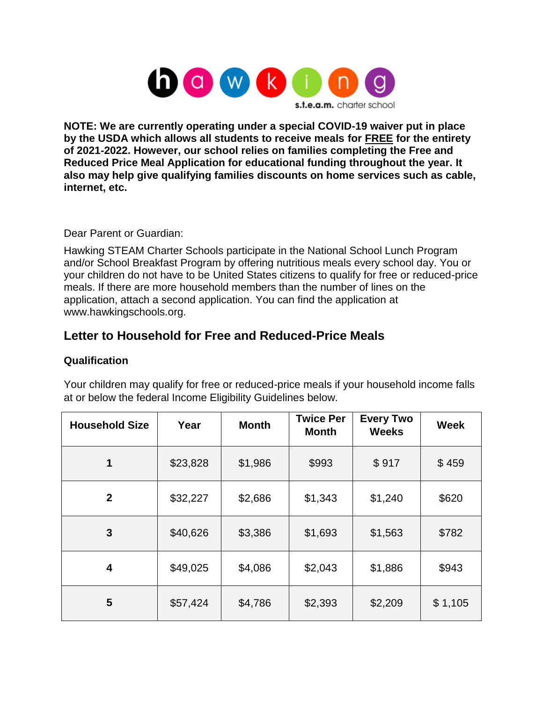

**NOTE: We are currently operating under a special COVID-19 waiver put in place by the USDA which allows all students to receive meals for FREE for the entirety of 2021-2022. However, our school relies on families completing the Free and Reduced Price Meal Application for educational funding throughout the year. It also may help give qualifying families discounts on home services such as cable, internet, etc.**

Dear Parent or Guardian:

Hawking STEAM Charter Schools participate in the National School Lunch Program and/or School Breakfast Program by offering nutritious meals every school day. You or your children do not have to be United States citizens to qualify for free or reduced-price meals. If there are more household members than the number of lines on the application, attach a second application. You can find the application at www.hawkingschools.org.

# **Letter to Household for Free and Reduced-Price Meals**

### **Qualification**

Your children may qualify for free or reduced-price meals if your household income falls at or below the federal Income Eligibility Guidelines below.

| <b>Household Size</b> | Year     | <b>Month</b> | <b>Twice Per</b><br><b>Month</b> | <b>Every Two</b><br><b>Weeks</b> | <b>Week</b> |
|-----------------------|----------|--------------|----------------------------------|----------------------------------|-------------|
| 1                     | \$23,828 | \$1,986      | \$993                            | \$917                            | \$459       |
| $\mathbf{2}$          | \$32,227 | \$2,686      | \$1,343                          | \$1,240                          | \$620       |
| $\mathbf{3}$          | \$40,626 | \$3,386      | \$1,693                          | \$1,563                          | \$782       |
| 4                     | \$49,025 | \$4,086      | \$2,043                          | \$1,886                          | \$943       |
| 5                     | \$57,424 | \$4,786      | \$2,393                          | \$2,209                          | \$1,105     |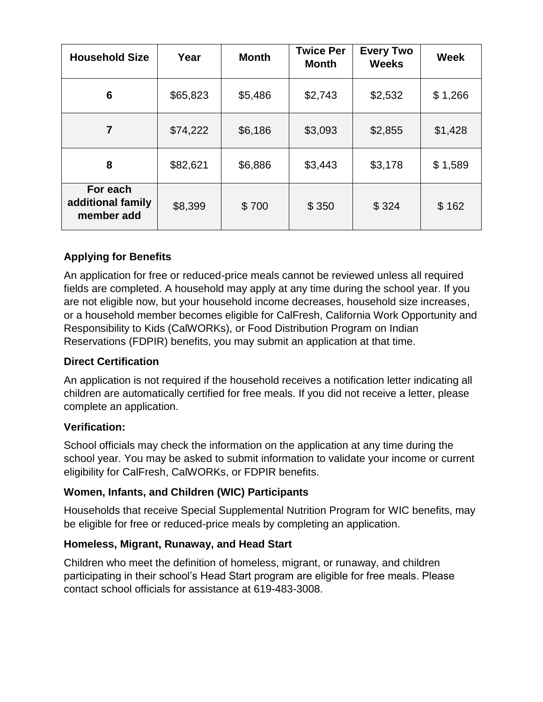| <b>Household Size</b>                       | Year     | <b>Month</b> | <b>Twice Per</b><br><b>Month</b> | <b>Every Two</b><br><b>Weeks</b> | <b>Week</b> |
|---------------------------------------------|----------|--------------|----------------------------------|----------------------------------|-------------|
| 6                                           | \$65,823 | \$5,486      | \$2,743                          | \$2,532                          | \$1,266     |
| $\overline{7}$                              | \$74,222 | \$6,186      | \$3,093                          | \$2,855                          | \$1,428     |
| 8                                           | \$82,621 | \$6,886      | \$3,443                          | \$3,178                          | \$1,589     |
| For each<br>additional family<br>member add | \$8,399  | \$700        | \$350                            | \$324                            | \$162       |

## **Applying for Benefits**

An application for free or reduced-price meals cannot be reviewed unless all required fields are completed. A household may apply at any time during the school year. If you are not eligible now, but your household income decreases, household size increases, or a household member becomes eligible for CalFresh, California Work Opportunity and Responsibility to Kids (CalWORKs), or Food Distribution Program on Indian Reservations (FDPIR) benefits, you may submit an application at that time.

### **Direct Certification**

An application is not required if the household receives a notification letter indicating all children are automatically certified for free meals. If you did not receive a letter, please complete an application.

### **Verification:**

School officials may check the information on the application at any time during the school year. You may be asked to submit information to validate your income or current eligibility for CalFresh, CalWORKs, or FDPIR benefits.

### **Women, Infants, and Children (WIC) Participants**

Households that receive Special Supplemental Nutrition Program for WIC benefits, may be eligible for free or reduced-price meals by completing an application.

### **Homeless, Migrant, Runaway, and Head Start**

Children who meet the definition of homeless, migrant, or runaway, and children participating in their school's Head Start program are eligible for free meals. Please contact school officials for assistance at 619-483-3008.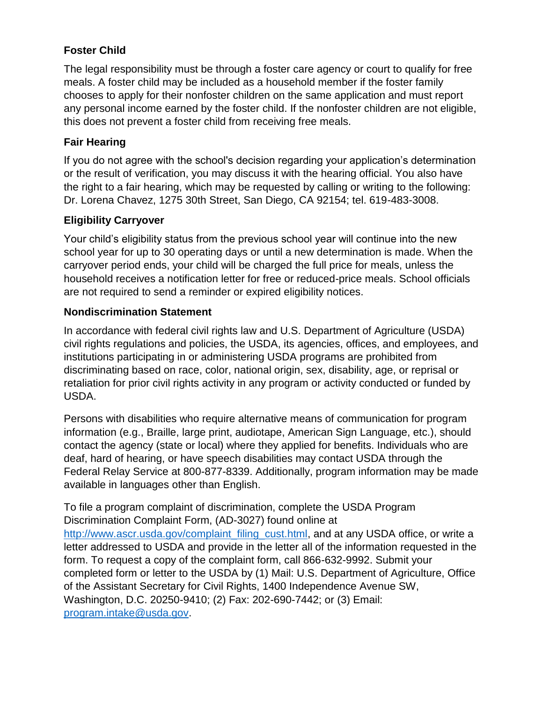## **Foster Child**

The legal responsibility must be through a foster care agency or court to qualify for free meals. A foster child may be included as a household member if the foster family chooses to apply for their nonfoster children on the same application and must report any personal income earned by the foster child. If the nonfoster children are not eligible, this does not prevent a foster child from receiving free meals.

### **Fair Hearing**

If you do not agree with the school's decision regarding your application's determination or the result of verification, you may discuss it with the hearing official. You also have the right to a fair hearing, which may be requested by calling or writing to the following: Dr. Lorena Chavez, 1275 30th Street, San Diego, CA 92154; tel. 619-483-3008.

### **Eligibility Carryover**

Your child's eligibility status from the previous school year will continue into the new school year for up to 30 operating days or until a new determination is made. When the carryover period ends, your child will be charged the full price for meals, unless the household receives a notification letter for free or reduced-price meals. School officials are not required to send a reminder or expired eligibility notices.

### **Nondiscrimination Statement**

In accordance with federal civil rights law and U.S. Department of Agriculture (USDA) civil rights regulations and policies, the USDA, its agencies, offices, and employees, and institutions participating in or administering USDA programs are prohibited from discriminating based on race, color, national origin, sex, disability, age, or reprisal or retaliation for prior civil rights activity in any program or activity conducted or funded by USDA.

Persons with disabilities who require alternative means of communication for program information (e.g., Braille, large print, audiotape, American Sign Language, etc.), should contact the agency (state or local) where they applied for benefits. Individuals who are deaf, hard of hearing, or have speech disabilities may contact USDA through the Federal Relay Service at 800-877-8339. Additionally, program information may be made available in languages other than English.

To file a program complaint of discrimination, complete the USDA Program Discrimination Complaint Form, (AD-3027) found online at [http://www.ascr.usda.gov/complaint\\_filing\\_cust.html,](http://www.ascr.usda.gov/complaint_filing_cust.html) and at any USDA office, or write a letter addressed to USDA and provide in the letter all of the information requested in the form. To request a copy of the complaint form, call 866-632-9992. Submit your completed form or letter to the USDA by (1) Mail: U.S. Department of Agriculture, Office of the Assistant Secretary for Civil Rights, 1400 Independence Avenue SW, Washington, D.C. 20250-9410; (2) Fax: 202-690-7442; or (3) Email: [program.intake@usda.gov.](mailto:program.intake@usda.gov)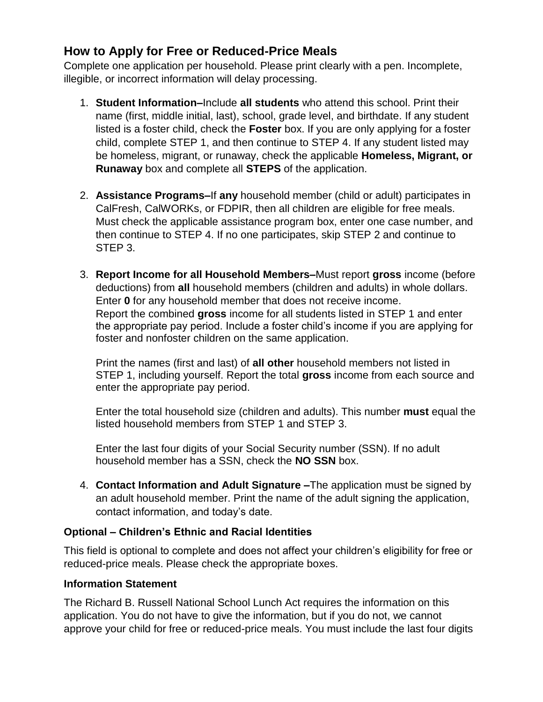# **How to Apply for Free or Reduced-Price Meals**

Complete one application per household. Please print clearly with a pen. Incomplete, illegible, or incorrect information will delay processing.

- 1. **Student Information–**Include **all students** who attend this school. Print their name (first, middle initial, last), school, grade level, and birthdate. If any student listed is a foster child, check the **Foster** box. If you are only applying for a foster child, complete STEP 1, and then continue to STEP 4. If any student listed may be homeless, migrant, or runaway, check the applicable **Homeless, Migrant, or Runaway** box and complete all **STEPS** of the application.
- 2. **Assistance Programs–**If **any** household member (child or adult) participates in CalFresh, CalWORKs, or FDPIR, then all children are eligible for free meals. Must check the applicable assistance program box, enter one case number, and then continue to STEP 4. If no one participates, skip STEP 2 and continue to STEP 3.
- 3. **Report Income for all Household Members–**Must report **gross** income (before deductions) from **all** household members (children and adults) in whole dollars. Enter **0** for any household member that does not receive income. Report the combined **gross** income for all students listed in STEP 1 and enter the appropriate pay period. Include a foster child's income if you are applying for foster and nonfoster children on the same application.

Print the names (first and last) of **all other** household members not listed in STEP 1, including yourself. Report the total **gross** income from each source and enter the appropriate pay period.

Enter the total household size (children and adults). This number **must** equal the listed household members from STEP 1 and STEP 3.

Enter the last four digits of your Social Security number (SSN). If no adult household member has a SSN, check the **NO SSN** box.

4. **Contact Information and Adult Signature –**The application must be signed by an adult household member. Print the name of the adult signing the application, contact information, and today's date.

### **Optional – Children's Ethnic and Racial Identities**

This field is optional to complete and does not affect your children's eligibility for free or reduced-price meals. Please check the appropriate boxes.

#### **Information Statement**

The Richard B. Russell National School Lunch Act requires the information on this application. You do not have to give the information, but if you do not, we cannot approve your child for free or reduced-price meals. You must include the last four digits